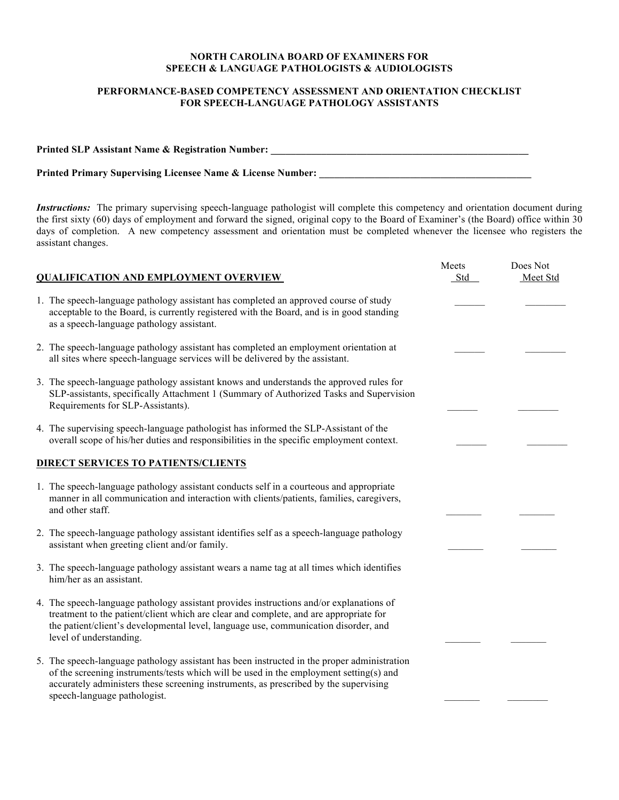## **NORTH CAROLINA BOARD OF EXAMINERS FOR SPEECH & LANGUAGE PATHOLOGISTS & AUDIOLOGISTS**

## **PERFORMANCE-BASED COMPETENCY ASSESSMENT AND ORIENTATION CHECKLIST FOR SPEECH-LANGUAGE PATHOLOGY ASSISTANTS**

| <b>Printed SLP Assistant Name &amp; Registration Number:</b>           |  |
|------------------------------------------------------------------------|--|
| <b>Printed Primary Supervising Licensee Name &amp; License Number:</b> |  |

*Instructions:* The primary supervising speech-language pathologist will complete this competency and orientation document during the first sixty (60) days of employment and forward the signed, original copy to the Board of Examiner's (the Board) office within 30 days of completion. A new competency assessment and orientation must be completed whenever the licensee who registers the assistant changes.

| <b>QUALIFICATION AND EMPLOYMENT OVERVIEW</b> |                                                                                                                                                                                                                                                                                                               | Meets<br>Std | Does Not<br>Meet Std |
|----------------------------------------------|---------------------------------------------------------------------------------------------------------------------------------------------------------------------------------------------------------------------------------------------------------------------------------------------------------------|--------------|----------------------|
|                                              | 1. The speech-language pathology assistant has completed an approved course of study<br>acceptable to the Board, is currently registered with the Board, and is in good standing<br>as a speech-language pathology assistant.                                                                                 |              |                      |
|                                              | 2. The speech-language pathology assistant has completed an employment orientation at<br>all sites where speech-language services will be delivered by the assistant.                                                                                                                                         |              |                      |
|                                              | 3. The speech-language pathology assistant knows and understands the approved rules for<br>SLP-assistants, specifically Attachment 1 (Summary of Authorized Tasks and Supervision<br>Requirements for SLP-Assistants).                                                                                        |              |                      |
|                                              | 4. The supervising speech-language pathologist has informed the SLP-Assistant of the<br>overall scope of his/her duties and responsibilities in the specific employment context.                                                                                                                              |              |                      |
|                                              | <b>DIRECT SERVICES TO PATIENTS/CLIENTS</b>                                                                                                                                                                                                                                                                    |              |                      |
|                                              | 1. The speech-language pathology assistant conducts self in a courteous and appropriate<br>manner in all communication and interaction with clients/patients, families, caregivers,<br>and other staff.                                                                                                       |              |                      |
|                                              | 2. The speech-language pathology assistant identifies self as a speech-language pathology<br>assistant when greeting client and/or family.                                                                                                                                                                    |              |                      |
|                                              | 3. The speech-language pathology assistant wears a name tag at all times which identifies<br>him/her as an assistant.                                                                                                                                                                                         |              |                      |
|                                              | 4. The speech-language pathology assistant provides instructions and/or explanations of<br>treatment to the patient/client which are clear and complete, and are appropriate for<br>the patient/client's developmental level, language use, communication disorder, and<br>level of understanding.            |              |                      |
|                                              | 5. The speech-language pathology assistant has been instructed in the proper administration<br>of the screening instruments/tests which will be used in the employment setting(s) and<br>accurately administers these screening instruments, as prescribed by the supervising<br>speech-language pathologist. |              |                      |